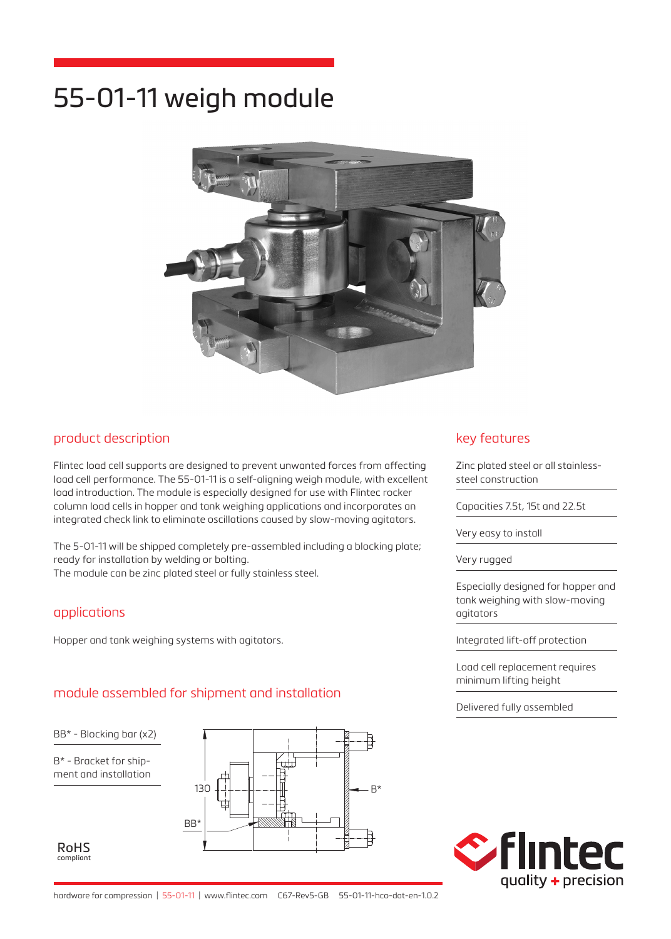# 55-01-11 weigh module



## product description

Flintec load cell supports are designed to prevent unwanted forces from affecting load cell performance. The 55-01-11 is a self-aligning weigh module, with excellent load introduction. The module is especially designed for use with Flintec rocker column load cells in hopper and tank weighing applications and incorporates an integrated check link to eliminate oscillations caused by slow-moving agitators.

The 5-01-11 will be shipped completely pre-assembled including a blocking plate; ready for installation by welding or bolting.

The module can be zinc plated steel or fully stainless steel.

#### applications

Hopper and tank weighing systems with agitators.

#### module assembled for shipment and installation

BB\* - Blocking bar (x2)

B\* - Bracket for shipment and installation

RoHS compliant



#### key features

Zinc plated steel or all stainlesssteel construction

Capacities 7.5t, 15t and 22.5t

Very easy to install

Very rugged

Especially designed for hopper and tank weighing with slow-moving agitators

Integrated lift-off protection

Load cell replacement requires minimum lifting height

Delivered fully assembled